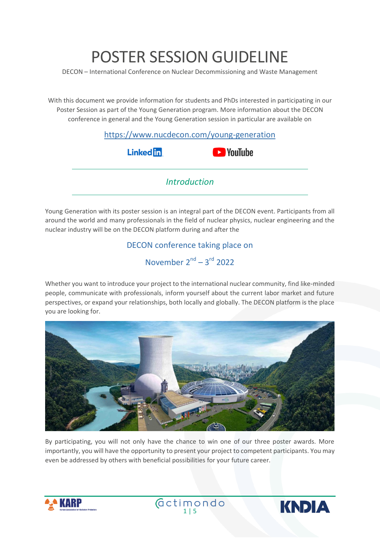# POSTER SESSION GUIDELINE

DECON – International Conference on Nuclear Decommissioning and Waste Management

With this document we provide information for students and PhDs interested in participating in our Poster Session as part of the Young Generation program. More information about the DECON conference in general and the Young Generation session in particular are available on

| https://www.nucdecon.com/young-generation |                    |
|-------------------------------------------|--------------------|
| <b>Linked in</b>                          | <b>EXP</b> YouTube |
| <i><u><b>Introduction</b></u></i>         |                    |

Young Generation with its poster session is an integral part of the DECON event. Participants from all around the world and many professionals in the field of nuclear physics, nuclear engineering and the nuclear industry will be on the DECON platform during and after the

# DECON conference taking place on November  $2^{nd}$  –  $3^{rd}$  2022

Whether you want to introduce your project to the international nuclear community, find like-minded people, communicate with professionals, inform yourself about the current labor market and future perspectives, or expand your relationships, both locally and globally. The DECON platform is the place you are looking for.



By participating, you will not only have the chance to win one of our three poster awards. More importantly, you will have the opportunity to present your project to competent participants. You may even be addressed by others with beneficial possibilities for your future career.



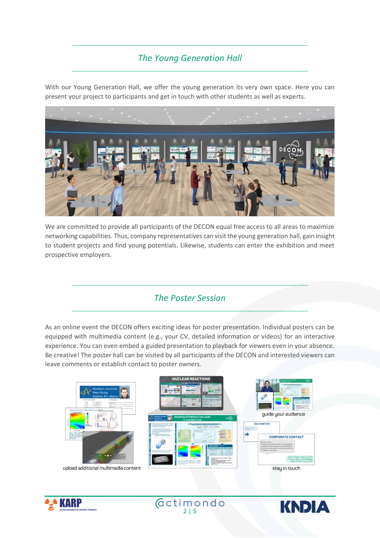# *The Young Generation Hall*

With our Young Generation Hall, we offer the young generation its very own space. Here you can present your project to participants and get in touch with other students as well as experts.



We are committed to provide all participants of the DECON equal free access to all areas to maximize networking capabilities. Thus, company representatives can visit the young generation hall, gain insight to student projects and find young potentials. Likewise, students can enter the exhibition and meet prospective employers.

## *The Poster Session*

As an online event the DECON offers exciting ideas for poster presentation. Individual posters can be equipped with multimedia content (e.g., your CV, detailed information or videos) for an interactive experience. You can even embed a guided presentation to playback for viewers even in your absence. Be creative! The poster hall can be visited by all participants of the DECON and interested viewers can leave comments or establish contact to poster owners.





 $\big(\text{detimondo}\big)$ 

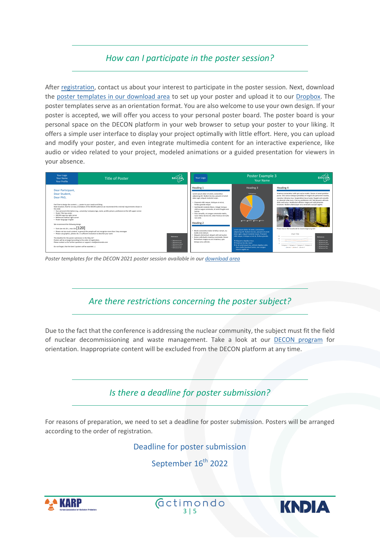# *How can I participate in the poster session?*

After [registration,](https://www.nucdecon.com/registration) contact us about your interest to participate in the poster session. Next, download the poster templates [in our download area](https://www.nucdecon.com/faq-contact) to set up your poster and upload it to our [Dropbox.](https://www.dropbox.com/request/pJXF5Q8KuPgt169vaKVi) The poster templates serve as an orientation format. You are also welcome to use your own design. If your poster is accepted, we will offer you access to your personal poster board. The poster board is your personal space on the DECON platform in your web browser to setup your poster to your liking. It offers a simple user interface to display your project optimally with little effort. Here, you can upload and modify your poster, and even integrate multimedia content for an interactive experience, like audio or video related to your project, modeled animations or a guided presentation for viewers in your absence.



*Poster templates for the DECON 2021 poster session available in ou[r download area](https://www.nucdecon.com/faq-contact)*

## *Are there restrictions concerning the poster subject?*

Due to the fact that the conference is addressing the nuclear community, the subject must fit the field of nuclear decommissioning and waste management. Take a look at our [DECON program](https://nucdecon.com/program) for orientation. Inappropriate content will be excluded from the DECON platform at any time.



For reasons of preparation, we need to set a deadline for poster submission. Posters will be arranged according to the order of registration.

Deadline for poster submission

September 16<sup>th</sup> 2022





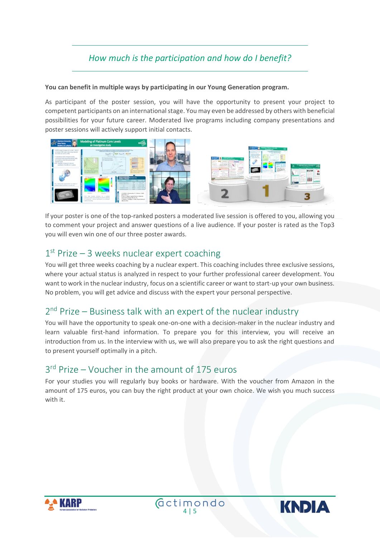# *How much is the participation and how do I benefit?*

#### **You can benefit in multiple ways by participating in our Young Generation program.**

As participant of the poster session, you will have the opportunity to present your project to competent participants on an international stage. You may even be addressed by others with beneficial possibilities for your future career. Moderated live programs including company presentations and poster sessions will actively support initial contacts.



If your poster is one of the top-ranked posters a moderated live session is offered to you, allowing you to comment your project and answer questions of a live audience. If your poster is rated as the Top3 you will even win one of our three poster awards.

# 1<sup>st</sup> Prize - 3 weeks nuclear expert coaching

You will get three weeks coaching by a nuclear expert. This coaching includes three exclusive sessions, where your actual status is analyzed in respect to your further professional career development. You want to work in the nuclear industry, focus on a scientific career or want to start-up your own business. No problem, you will get advice and discuss with the expert your personal perspective.

# 2<sup>nd</sup> Prize – Business talk with an expert of the nuclear industry

You will have the opportunity to speak one-on-one with a decision-maker in the nuclear industry and learn valuable first-hand information. To prepare you for this interview, you will receive an introduction from us. In the interview with us, we will also prepare you to ask the right questions and to present yourself optimally in a pitch.

# 3<sup>rd</sup> Prize – Voucher in the amount of 175 euros

For your studies you will regularly buy books or hardware. With the voucher from Amazon in the amount of 175 euros, you can buy the right product at your own choice. We wish you much success with it.